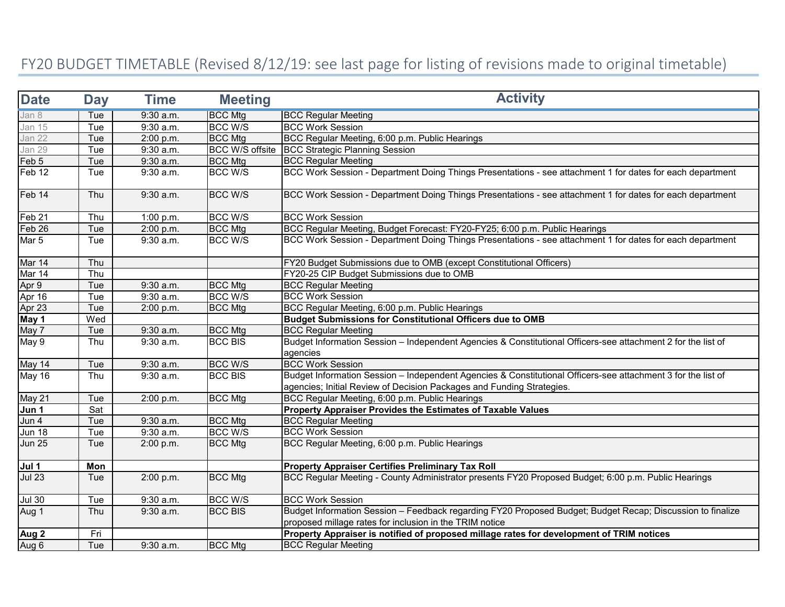## FY20 BUDGET TIMETABLE (Revised 8/12/19: see last page for listing of revisions made to original timetable)

| <b>Date</b>                   | <b>Day</b> | <b>Time</b> | <b>Meeting</b>         | <b>Activity</b>                                                                                                                                                                       |  |
|-------------------------------|------------|-------------|------------------------|---------------------------------------------------------------------------------------------------------------------------------------------------------------------------------------|--|
| Jan 8                         | Tue        | 9:30 a.m.   | <b>BCC Mtg</b>         | <b>BCC Regular Meeting</b>                                                                                                                                                            |  |
| <b>Jan 15</b>                 | Tue        | $9:30$ a.m. | <b>BCC W/S</b>         | <b>BCC Work Session</b>                                                                                                                                                               |  |
| Jan 22                        | Tue        | 2:00 p.m.   | <b>BCC Mtg</b>         | BCC Regular Meeting, 6:00 p.m. Public Hearings                                                                                                                                        |  |
| Jan 29                        | Tue        | 9:30 a.m.   | <b>BCC W/S offsite</b> | <b>BCC Strategic Planning Session</b>                                                                                                                                                 |  |
| Feb 5                         | Tue        | 9:30 a.m.   | <b>BCC Mtg</b>         | <b>BCC Regular Meeting</b>                                                                                                                                                            |  |
| $\overline{\mathsf{F}}$ eb 12 | Tue        | 9:30 a.m.   | <b>BCC W/S</b>         | BCC Work Session - Department Doing Things Presentations - see attachment 1 for dates for each department                                                                             |  |
| Feb 14                        | Thu        | $9:30$ a.m. | <b>BCC W/S</b>         | BCC Work Session - Department Doing Things Presentations - see attachment 1 for dates for each department                                                                             |  |
| Feb <sub>21</sub>             | Thu        | 1:00 p.m.   | <b>BCC W/S</b>         | <b>BCC Work Session</b>                                                                                                                                                               |  |
| Feb 26                        | Tue        | 2:00 p.m.   | <b>BCC Mtg</b>         | BCC Regular Meeting, Budget Forecast: FY20-FY25; 6:00 p.m. Public Hearings                                                                                                            |  |
| Mar 5                         | Tue        | 9:30 a.m.   | <b>BCC W/S</b>         | BCC Work Session - Department Doing Things Presentations - see attachment 1 for dates for each department                                                                             |  |
| Mar 14                        | Thu        |             |                        | FY20 Budget Submissions due to OMB (except Constitutional Officers)                                                                                                                   |  |
| Mar 14                        | Thu        |             |                        | FY20-25 CIP Budget Submissions due to OMB                                                                                                                                             |  |
| Apr 9                         | Tue        | 9:30 a.m.   | <b>BCC Mtg</b>         | <b>BCC Regular Meeting</b>                                                                                                                                                            |  |
| Apr 16                        | Tue        | 9:30 a.m.   | <b>BCC W/S</b>         | <b>BCC Work Session</b>                                                                                                                                                               |  |
| Apr 23                        | Tue        | 2:00 p.m.   | <b>BCC Mtg</b>         | BCC Regular Meeting, 6:00 p.m. Public Hearings                                                                                                                                        |  |
| May 1                         | Wed        |             |                        | <b>Budget Submissions for Constitutional Officers due to OMB</b>                                                                                                                      |  |
| May 7                         | Tue        | 9:30 a.m.   | <b>BCC Mtg</b>         | <b>BCC Regular Meeting</b>                                                                                                                                                            |  |
| May 9                         | Thu        | $9:30$ a.m. | <b>BCC BIS</b>         | Budget Information Session - Independent Agencies & Constitutional Officers-see attachment 2 for the list of<br>agencies                                                              |  |
| May 14                        | Tue        | $9:30$ a.m. | <b>BCC W/S</b>         | <b>BCC Work Session</b>                                                                                                                                                               |  |
| May 16                        | Thu        | 9:30 a.m.   | <b>BCC BIS</b>         | Budget Information Session - Independent Agencies & Constitutional Officers-see attachment 3 for the list of<br>agencies; Initial Review of Decision Packages and Funding Strategies. |  |
| May 21                        | Tue        | 2:00 p.m.   | <b>BCC Mtg</b>         | BCC Regular Meeting, 6:00 p.m. Public Hearings                                                                                                                                        |  |
| Jun 1                         | Sat        |             |                        | Property Appraiser Provides the Estimates of Taxable Values                                                                                                                           |  |
| Jun 4                         | Tue        | 9:30 a.m.   | <b>BCC Mtg</b>         | <b>BCC Regular Meeting</b>                                                                                                                                                            |  |
| <b>Jun 18</b>                 | Tue        | 9:30 a.m.   | <b>BCC W/S</b>         | <b>BCC Work Session</b>                                                                                                                                                               |  |
| <b>Jun 25</b>                 | Tue        | 2:00 p.m.   | <b>BCC Mtg</b>         | BCC Regular Meeting, 6:00 p.m. Public Hearings                                                                                                                                        |  |
| Jul 1                         | Mon        |             |                        | <b>Property Appraiser Certifies Preliminary Tax Roll</b>                                                                                                                              |  |
| <b>Jul 23</b>                 | Tue        | 2:00 p.m.   | <b>BCC Mtg</b>         | BCC Regular Meeting - County Administrator presents FY20 Proposed Budget; 6:00 p.m. Public Hearings                                                                                   |  |
| <b>Jul 30</b>                 | Tue        | 9:30 a.m.   | <b>BCC W/S</b>         | <b>BCC Work Session</b>                                                                                                                                                               |  |
| Aug 1                         | Thu        | 9:30 a.m.   | <b>BCC BIS</b>         | Budget Information Session - Feedback regarding FY20 Proposed Budget; Budget Recap; Discussion to finalize<br>proposed millage rates for inclusion in the TRIM notice                 |  |
| Aug <sub>2</sub>              | Fri        |             |                        | Property Appraiser is notified of proposed millage rates for development of TRIM notices                                                                                              |  |
| Aug 6                         | Tue        | 9:30 a.m.   | <b>BCC Mtg</b>         | <b>BCC Regular Meeting</b>                                                                                                                                                            |  |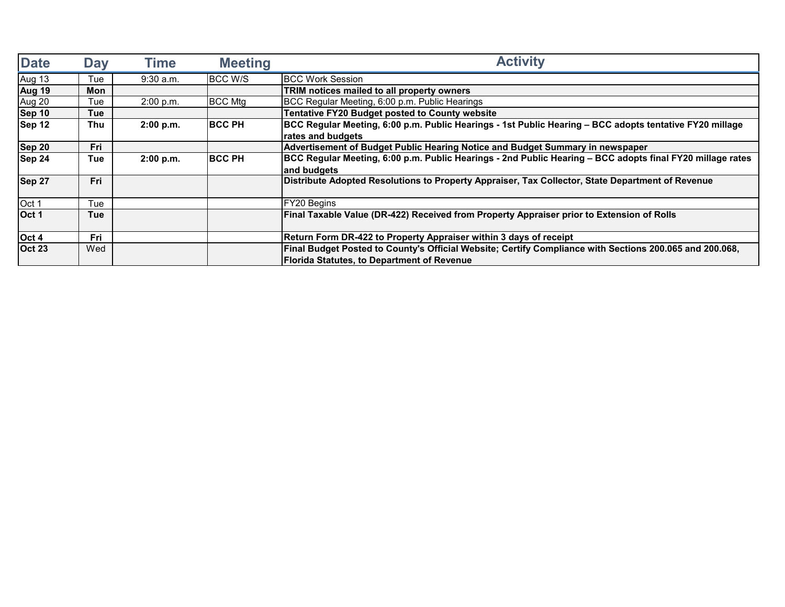| <b>Date</b>   | <b>Day</b> | <b>Time</b> | <b>Meeting</b> | <b>Activity</b>                                                                                           |  |
|---------------|------------|-------------|----------------|-----------------------------------------------------------------------------------------------------------|--|
| <b>Aug 13</b> | Tue        | $9:30$ a.m. | BCC W/S        | <b>IBCC Work Session</b>                                                                                  |  |
| <b>Aug 19</b> | Mon        |             |                | TRIM notices mailed to all property owners                                                                |  |
| Aug 20        | Tue        | 2:00 p.m.   | <b>BCC Mtg</b> | BCC Regular Meeting, 6:00 p.m. Public Hearings                                                            |  |
| <b>Sep 10</b> | Tue        |             |                | <b>Tentative FY20 Budget posted to County website</b>                                                     |  |
| Sep 12        | Thu        | 2:00 p.m.   | <b>BCC PH</b>  | BCC Regular Meeting, 6:00 p.m. Public Hearings - 1st Public Hearing - BCC adopts tentative FY20 millage   |  |
|               |            |             |                | rates and budgets                                                                                         |  |
| <b>Sep 20</b> | Fri        |             |                | Advertisement of Budget Public Hearing Notice and Budget Summary in newspaper                             |  |
| Sep 24        | Tue        | 2:00 p.m.   | <b>IBCC PH</b> | BCC Regular Meeting, 6:00 p.m. Public Hearings - 2nd Public Hearing - BCC adopts final FY20 millage rates |  |
|               |            |             |                | and budgets                                                                                               |  |
| Sep 27        | Fri        |             |                | Distribute Adopted Resolutions to Property Appraiser, Tax Collector, State Department of Revenue          |  |
| Oct 1         | Tue        |             |                | <b>FY20 Begins</b>                                                                                        |  |
| Oct 1         | <b>Tue</b> |             |                | Final Taxable Value (DR-422) Received from Property Appraiser prior to Extension of Rolls                 |  |
| Oct 4         | <b>Fri</b> |             |                | Return Form DR-422 to Property Appraiser within 3 days of receipt                                         |  |
| <b>Oct 23</b> | Wed        |             |                | Final Budget Posted to County's Official Website; Certify Compliance with Sections 200.065 and 200.068,   |  |
|               |            |             |                | <b>Florida Statutes, to Department of Revenue</b>                                                         |  |